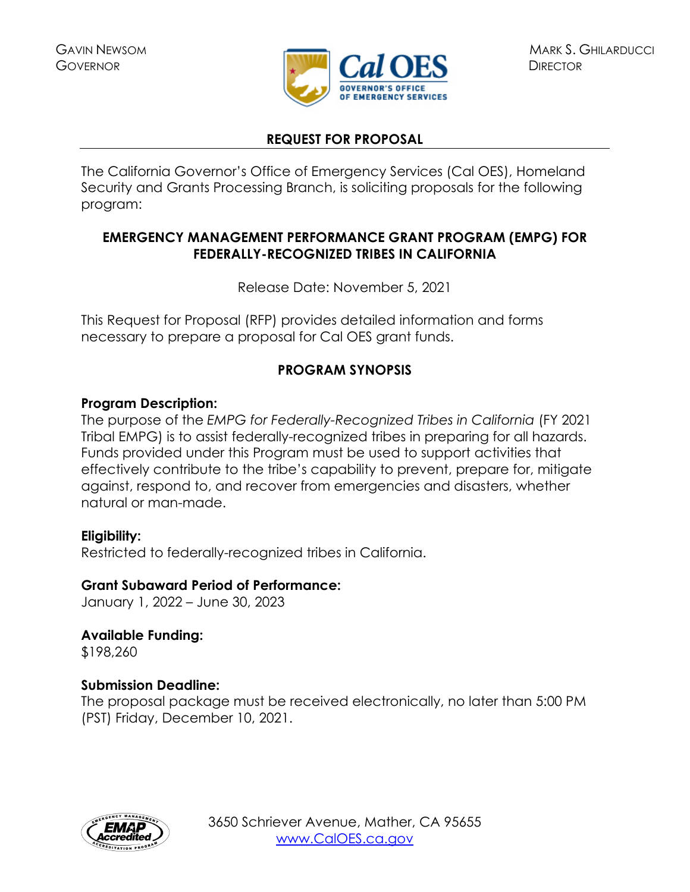

# **REQUEST FOR PROPOSAL**

The California Governor's Office of Emergency Services (Cal OES), Homeland Security and Grants Processing Branch, is soliciting proposals for the following program:

# **EMERGENCY MANAGEMENT PERFORMANCE GRANT PROGRAM (EMPG) FOR FEDERALLY-RECOGNIZED TRIBES IN CALIFORNIA**

Release Date: November 5, 2021

This Request for Proposal (RFP) provides detailed information and forms necessary to prepare a proposal for Cal OES grant funds.

# **PROGRAM SYNOPSIS**

# **Program Description:**

The purpose of the *EMPG for Federally-Recognized Tribes in California* (FY 2021 Tribal EMPG) is to assist federally-recognized tribes in preparing for all hazards. Funds provided under this Program must be used to support activities that effectively contribute to the tribe's capability to prevent, prepare for, mitigate against, respond to, and recover from emergencies and disasters, whether natural or man-made.

# **Eligibility:**

Restricted to federally-recognized tribes in California.

### **Grant Subaward Period of Performance:**

January 1, 2022 – June 30, 2023

**Available Funding:**  \$198,260

### **Submission Deadline:**

The proposal package must be received electronically, no later than 5:00 PM (PST) Friday, December 10, 2021.

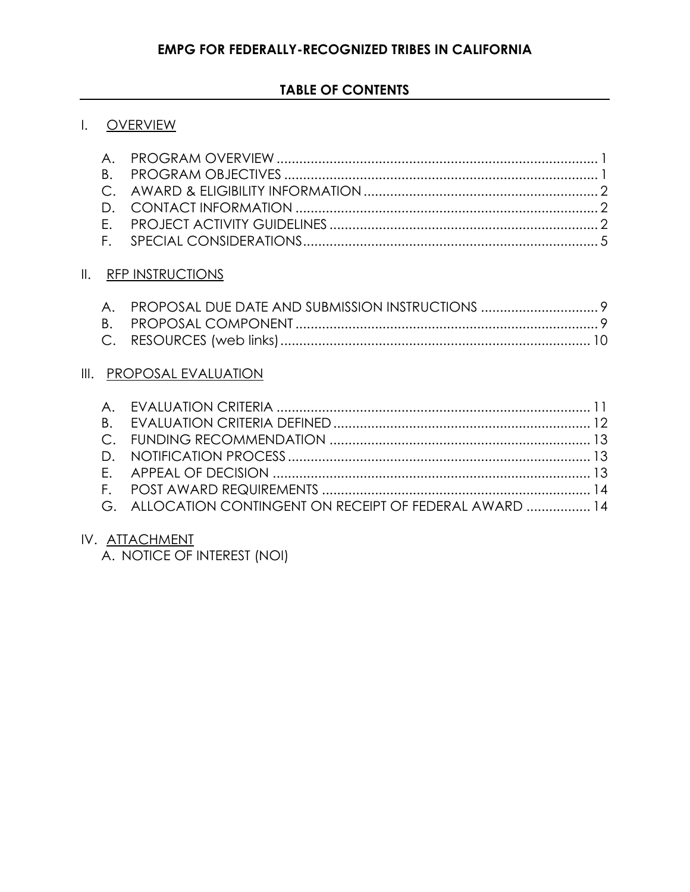### **TABLE OF CONTENTS**

### I. [OVERVIEW](#page-2-0)

### **II.** [RFP INSTRUCTIONS](#page-10-0)

# III. [PROPOSAL EVALUATION](#page-12-0)

| G. ALLOCATION CONTINGENT ON RECEIPT OF FEDERAL AWARD  14 |  |
|----------------------------------------------------------|--|

### IV. ATTACHMENT

A. NOTICE OF INTEREST (NOI)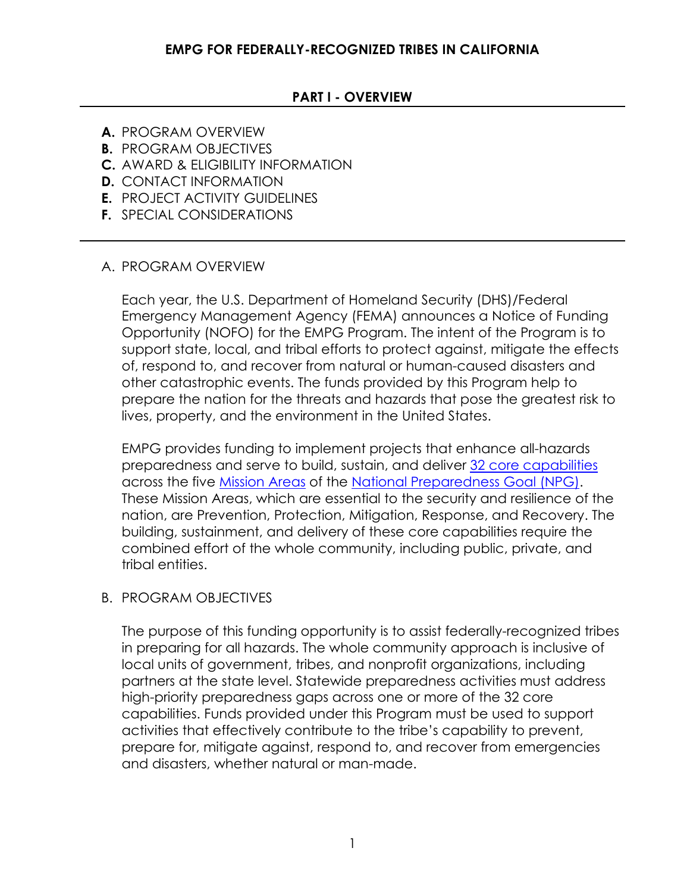### **PART I - OVERVIEW**

- <span id="page-2-0"></span>**A.** PROGRAM OVERVIEW
- **B.** PROGRAM OBJECTIVES
- **C.** AWARD & ELIGIBILITY INFORMATION
- **D.** CONTACT INFORMATION
- **E.** PROJECT ACTIVITY GUIDELINES
- **F.** SPECIAL CONSIDERATIONS

### <span id="page-2-1"></span>A. PROGRAM OVERVIEW

Each year, the U.S. Department of Homeland Security (DHS)/Federal Emergency Management Agency (FEMA) announces a Notice of Funding Opportunity (NOFO) for the EMPG Program. The intent of the Program is to support state, local, and tribal efforts to protect against, mitigate the effects of, respond to, and recover from natural or human-caused disasters and other catastrophic events. The funds provided by this Program help to prepare the nation for the threats and hazards that pose the greatest risk to lives, property, and the environment in the United States.

EMPG provides funding to implement projects that enhance all-hazards preparedness and serve to build, sustain, and deliver [32 core capabilities](https://www.fema.gov/emergency-managers/national-preparedness/mission-core-capabilities) across the five [Mission Areas](https://www.fema.gov/emergency-managers/national-preparedness/mission-core-capabilities) of the [National Preparedness Goal \(NPG\).](https://www.fema.gov/emergency-managers/national-preparedness) These Mission Areas, which are essential to the security and resilience of the nation, are Prevention, Protection, Mitigation, Response, and Recovery. The building, sustainment, and delivery of these core capabilities require the combined effort of the whole community, including public, private, and tribal entities.

### <span id="page-2-2"></span>B. PROGRAM OBJECTIVES

The purpose of this funding opportunity is to assist federally-recognized tribes in preparing for all hazards. The whole community approach is inclusive of local units of government, tribes, and nonprofit organizations, including partners at the state level. Statewide preparedness activities must address high-priority preparedness gaps across one or more of the 32 core capabilities. Funds provided under this Program must be used to support activities that effectively contribute to the tribe's capability to prevent, prepare for, mitigate against, respond to, and recover from emergencies and disasters, whether natural or man-made.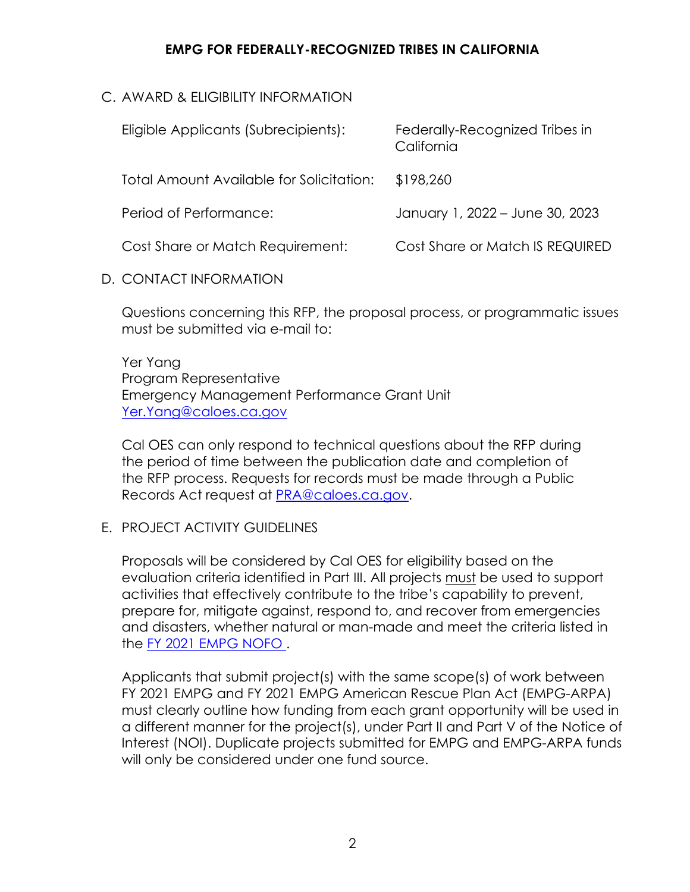## <span id="page-3-0"></span>C. AWARD & ELIGIBILITY INFORMATION

| Eligible Applicants (Subrecipients):     | Federally-Recognized Tribes in<br>California |
|------------------------------------------|----------------------------------------------|
| Total Amount Available for Solicitation: | \$198,260                                    |
| Period of Performance:                   | January 1, 2022 – June 30, 2023              |
| Cost Share or Match Requirement:         | Cost Share or Match IS REQUIRED              |
|                                          |                                              |

<span id="page-3-1"></span>D. CONTACT INFORMATION

Questions concerning this RFP, the proposal process, or programmatic issues must be submitted via e-mail to:

### Yer Yang Program Representative Emergency Management Performance Grant Unit [Yer.Yang@caloes.ca.gov](mailto:Yer.Yang@caloes.ca.gov)

Cal OES can only respond to technical questions about the RFP during the period of time between the publication date and completion of the RFP process. Requests for records must be made through a Public Records Act request at [PRA@caloes.ca.gov.](mailto:PRA@caloes.ca.gov)

# <span id="page-3-2"></span>E. PROJECT ACTIVITY GUIDELINES

Proposals will be considered by Cal OES for eligibility based on the evaluation criteria identified in Part III. All projects must be used to support activities that effectively contribute to the tribe's capability to prevent, prepare for, mitigate against, respond to, and recover from emergencies and disasters, whether natural or man-made and meet the criteria listed in the [FY 2021 EMPG NOFO .](https://www.fema.gov/sites/default/files/documents/fema_fy-2021-empg-nofo-arpa-update_4-21-20.pdf)

Applicants that submit project(s) with the same scope(s) of work between FY 2021 EMPG and FY 2021 EMPG American Rescue Plan Act (EMPG-ARPA) must clearly outline how funding from each grant opportunity will be used in a different manner for the project(s), under Part II and Part V of the Notice of Interest (NOI). Duplicate projects submitted for EMPG and EMPG-ARPA funds will only be considered under one fund source.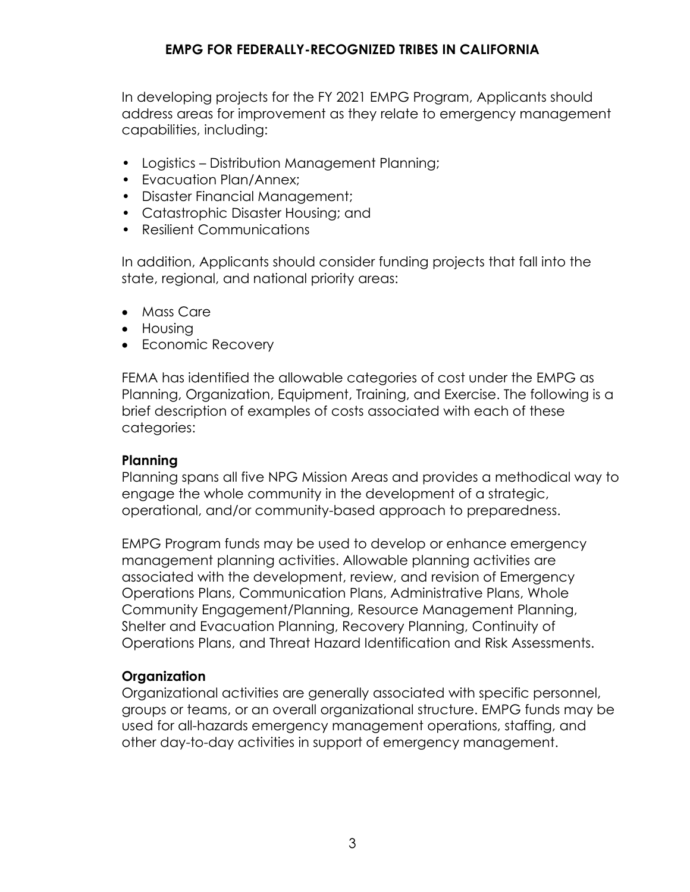In developing projects for the FY 2021 EMPG Program, Applicants should address areas for improvement as they relate to emergency management capabilities, including:

- Logistics Distribution Management Planning;
- Evacuation Plan/Annex;
- Disaster Financial Management;
- Catastrophic Disaster Housing; and
- Resilient Communications

In addition, Applicants should consider funding projects that fall into the state, regional, and national priority areas:

- Mass Care
- Housing
- Economic Recovery

FEMA has identified the allowable categories of cost under the EMPG as Planning, Organization, Equipment, Training, and Exercise. The following is a brief description of examples of costs associated with each of these categories:

### **Planning**

Planning spans all five NPG Mission Areas and provides a methodical way to engage the whole community in the development of a strategic, operational, and/or community-based approach to preparedness.

EMPG Program funds may be used to develop or enhance emergency management planning activities. Allowable planning activities are associated with the development, review, and revision of Emergency Operations Plans, Communication Plans, Administrative Plans, Whole Community Engagement/Planning, Resource Management Planning, Shelter and Evacuation Planning, Recovery Planning, Continuity of Operations Plans, and Threat Hazard Identification and Risk Assessments.

### **Organization**

Organizational activities are generally associated with specific personnel, groups or teams, or an overall organizational structure. EMPG funds may be used for all-hazards emergency management operations, staffing, and other day-to-day activities in support of emergency management.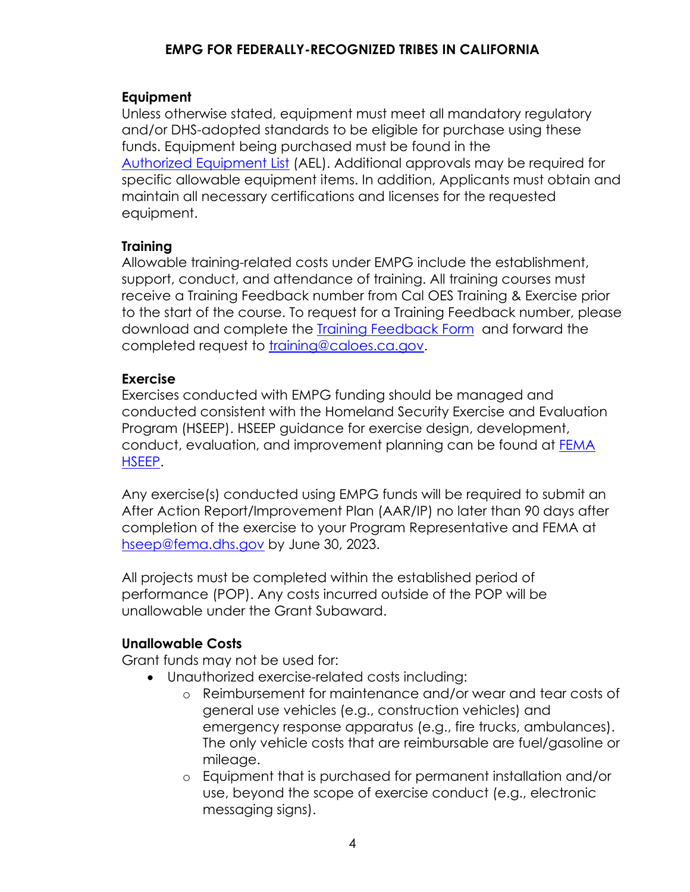### **Equipment**

Unless otherwise stated, equipment must meet all mandatory regulatory and/or DHS-adopted standards to be eligible for purchase using these funds. Equipment being purchased must be found in the [Authorized Equipment List](https://www.fema.gov/grants/guidance-tools/authorized-equipment-list) (AEL). Additional approvals may be required for specific allowable equipment items. In addition, Applicants must obtain and maintain all necessary certifications and licenses for the requested equipment.

### **Training**

Allowable training-related costs under EMPG include the establishment, support, conduct, and attendance of training. All training courses must receive a Training Feedback number from Cal OES Training & Exercise prior to the start of the course. To request for a Training Feedback number, please download and complete the [Training Feedback Form](https://www.caloes.ca.gov/CaliforniaSpecializedTrainingInstituteSite/Documents/HSG%20Funds%20Tracking%20Number%20Request%20Form.pdf) and forward the completed request to [training@caloes.ca.gov.](mailto:training@caloes.ca.gov)

### **Exercise**

Exercises conducted with EMPG funding should be managed and conducted consistent with the Homeland Security Exercise and Evaluation Program (HSEEP). HSEEP guidance for exercise design, development, conduct, evaluation, and improvement planning can be found at [FEMA](https://www.fema.gov/hseep)  [HSEEP.](https://www.fema.gov/hseep)

Any exercise(s) conducted using EMPG funds will be required to submit an After Action Report/Improvement Plan (AAR/IP) no later than 90 days after completion of the exercise to your Program Representative and FEMA at [hseep@fema.dhs.gov](mailto:hseep@fema.dhs.gov) by June 30, 2023.

All projects must be completed within the established period of performance (POP). Any costs incurred outside of the POP will be unallowable under the Grant Subaward.

### **Unallowable Costs**

Grant funds may not be used for:

- Unauthorized exercise-related costs including:
	- o Reimbursement for maintenance and/or wear and tear costs of general use vehicles (e.g., construction vehicles) and emergency response apparatus (e.g., fire trucks, ambulances). The only vehicle costs that are reimbursable are fuel/gasoline or mileage.
	- o Equipment that is purchased for permanent installation and/or use, beyond the scope of exercise conduct (e.g., electronic messaging signs).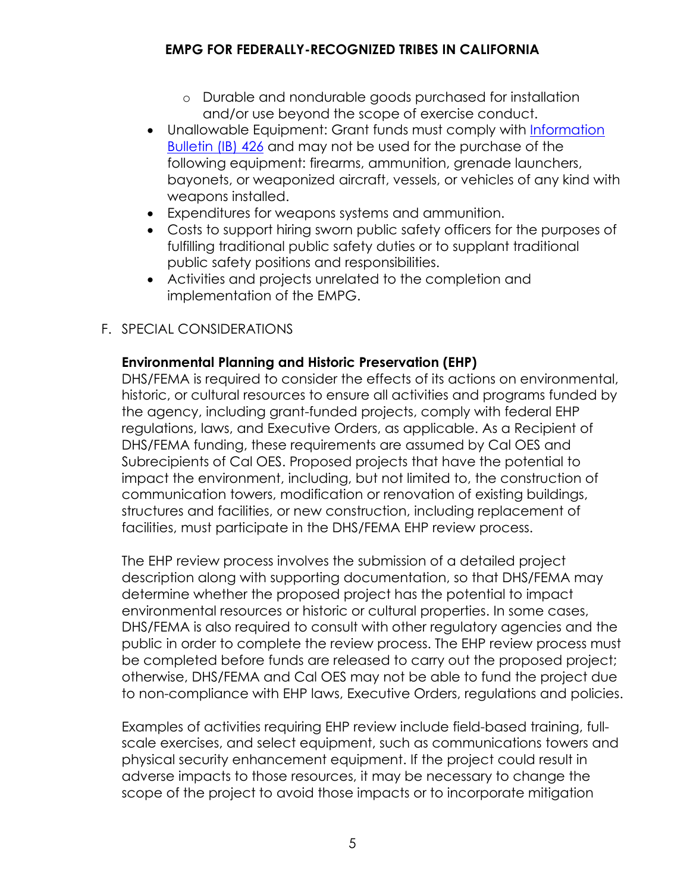- o Durable and nondurable goods purchased for installation and/or use beyond the scope of exercise conduct.
- Unallowable Equipment: Grant funds must comply with [Information](https://www.fema.gov/sites/default/files/2020-08/ib_426_controlled_equipment_recission__11-1-17.pdf)  [Bulletin](https://www.fema.gov/sites/default/files/2020-08/ib_426_controlled_equipment_recission__11-1-17.pdf) (IB) 426 and may not be used for the purchase of the following equipment: firearms, ammunition, grenade launchers, bayonets, or weaponized aircraft, vessels, or vehicles of any kind with weapons installed.
- Expenditures for weapons systems and ammunition.
- Costs to support hiring sworn public safety officers for the purposes of fulfilling traditional public safety duties or to supplant traditional public safety positions and responsibilities.
- Activities and projects unrelated to the completion and implementation of the EMPG.

# <span id="page-6-0"></span>F. SPECIAL CONSIDERATIONS

# **Environmental Planning and Historic Preservation (EHP)**

DHS/FEMA is required to consider the effects of its actions on environmental, historic, or cultural resources to ensure all activities and programs funded by the agency, including grant-funded projects, comply with federal EHP regulations, laws, and Executive Orders, as applicable. As a Recipient of DHS/FEMA funding, these requirements are assumed by Cal OES and Subrecipients of Cal OES. Proposed projects that have the potential to impact the environment, including, but not limited to, the construction of communication towers, modification or renovation of existing buildings, structures and facilities, or new construction, including replacement of facilities, must participate in the DHS/FEMA EHP review process.

The EHP review process involves the submission of a detailed project description along with supporting documentation, so that DHS/FEMA may determine whether the proposed project has the potential to impact environmental resources or historic or cultural properties. In some cases, DHS/FEMA is also required to consult with other regulatory agencies and the public in order to complete the review process. The EHP review process must be completed before funds are released to carry out the proposed project; otherwise, DHS/FEMA and Cal OES may not be able to fund the project due to non-compliance with EHP laws, Executive Orders, regulations and policies.

Examples of activities requiring EHP review include field-based training, fullscale exercises, and select equipment, such as communications towers and physical security enhancement equipment. If the project could result in adverse impacts to those resources, it may be necessary to change the scope of the project to avoid those impacts or to incorporate mitigation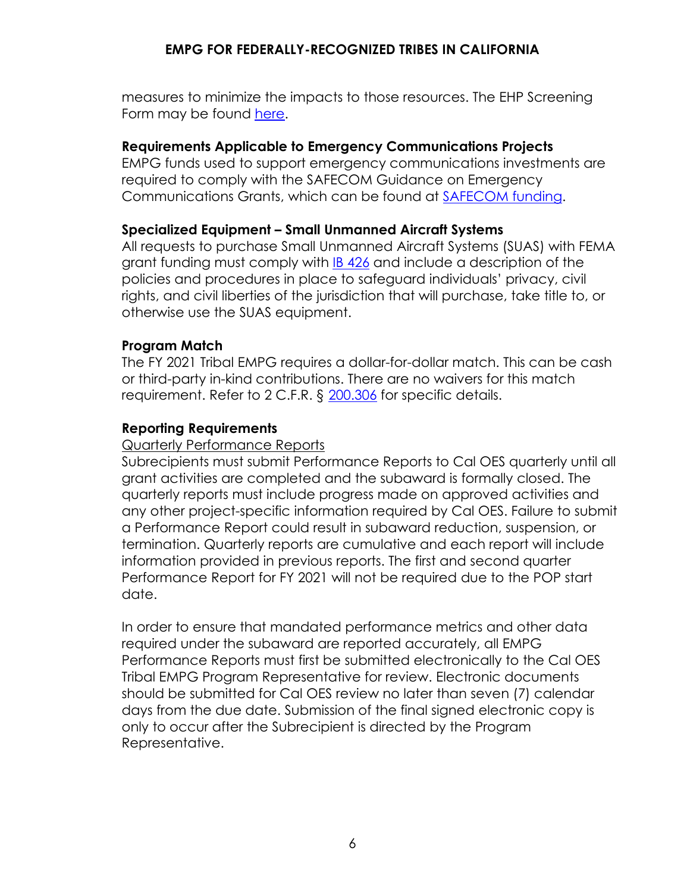measures to minimize the impacts to those resources. The EHP Screening Form may be found [here.](https://www.fema.gov/media-library/assets/documents/90195)

### **Requirements Applicable to Emergency Communications Projects**

EMPG funds used to support emergency communications investments are required to comply with the SAFECOM Guidance on Emergency Communications Grants, which can be found at [SAFECOM funding.](https://www.dhs.gov/safecom/funding)

### **Specialized Equipment – Small Unmanned Aircraft Systems**

All requests to purchase Small Unmanned Aircraft Systems (SUAS) with FEMA grant funding must comply with [IB 426](https://www.fema.gov/sites/default/files/2020-08/ib_426_controlled_equipment_recission__11-1-17.pdf) and include a description of the policies and procedures in place to safeguard individuals' privacy, civil rights, and civil liberties of the jurisdiction that will purchase, take title to, or otherwise use the SUAS equipment.

### **Program Match**

The FY 2021 Tribal EMPG requires a dollar-for-dollar match. This can be cash or third-party in-kind contributions. There are no waivers for this match requirement. Refer to 2 C.F.R. § [200.306](https://www.ecfr.gov/current/title-2/subtitle-A/chapter-II/part-200#200.306) for specific details.

### **Reporting Requirements**

#### Quarterly Performance Reports

Subrecipients must submit Performance Reports to Cal OES quarterly until all grant activities are completed and the subaward is formally closed. The quarterly reports must include progress made on approved activities and any other project-specific information required by Cal OES. Failure to submit a Performance Report could result in subaward reduction, suspension, or termination. Quarterly reports are cumulative and each report will include information provided in previous reports. The first and second quarter Performance Report for FY 2021 will not be required due to the POP start date.

In order to ensure that mandated performance metrics and other data required under the subaward are reported accurately, all EMPG Performance Reports must first be submitted electronically to the Cal OES Tribal EMPG Program Representative for review. Electronic documents should be submitted for Cal OES review no later than seven (7) calendar days from the due date. Submission of the final signed electronic copy is only to occur after the Subrecipient is directed by the Program Representative.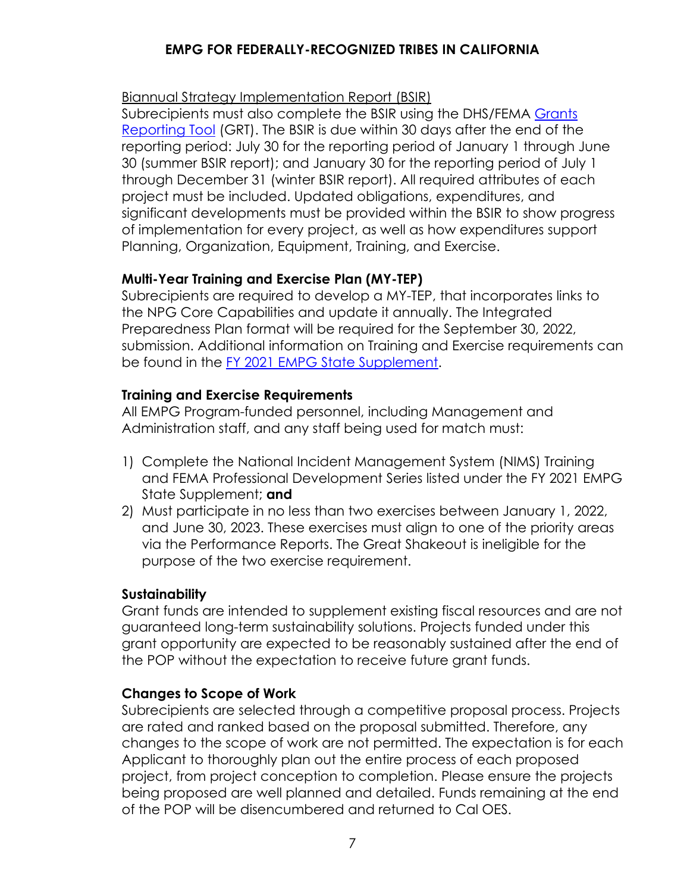### Biannual Strategy Implementation Report (BSIR)

Subrecipients must also complete the BSIR using the DHS/FEMA Grants [Reporting Tool](https://www.reporting.odp.dhs.gov/) (GRT). The BSIR is due within 30 days after the end of the reporting period: July 30 for the reporting period of January 1 through June 30 (summer BSIR report); and January 30 for the reporting period of July 1 through December 31 (winter BSIR report). All required attributes of each project must be included. Updated obligations, expenditures, and significant developments must be provided within the BSIR to show progress of implementation for every project, as well as how expenditures support Planning, Organization, Equipment, Training, and Exercise.

# **Multi-Year Training and Exercise Plan (MY-TEP)**

Subrecipients are required to develop a MY-TEP, that incorporates links to the NPG Core Capabilities and update it annually. The Integrated Preparedness Plan format will be required for the September 30, 2022, submission. Additional information on Training and Exercise requirements can be found in the FY 2021 [EMPG State Supplement.](https://www.caloes.ca.gov/GrantsManagementSite/Documents/FY%202021%20EMPG%20and%20EMPG-ARPA%20State%20Supplement.pdf)

### **Training and Exercise Requirements**

All EMPG Program-funded personnel, including Management and Administration staff, and any staff being used for match must:

- 1) Complete the National Incident Management System (NIMS) Training and FEMA Professional Development Series listed under the FY 2021 EMPG State Supplement; **and**
- 2) Must participate in no less than two exercises between January 1, 2022, and June 30, 2023. These exercises must align to one of the priority areas via the Performance Reports. The Great Shakeout is ineligible for the purpose of the two exercise requirement.

### **Sustainability**

Grant funds are intended to supplement existing fiscal resources and are not guaranteed long-term sustainability solutions. Projects funded under this grant opportunity are expected to be reasonably sustained after the end of the POP without the expectation to receive future grant funds.

### **Changes to Scope of Work**

Subrecipients are selected through a competitive proposal process. Projects are rated and ranked based on the proposal submitted. Therefore, any changes to the scope of work are not permitted. The expectation is for each Applicant to thoroughly plan out the entire process of each proposed project, from project conception to completion. Please ensure the projects being proposed are well planned and detailed. Funds remaining at the end of the POP will be disencumbered and returned to Cal OES.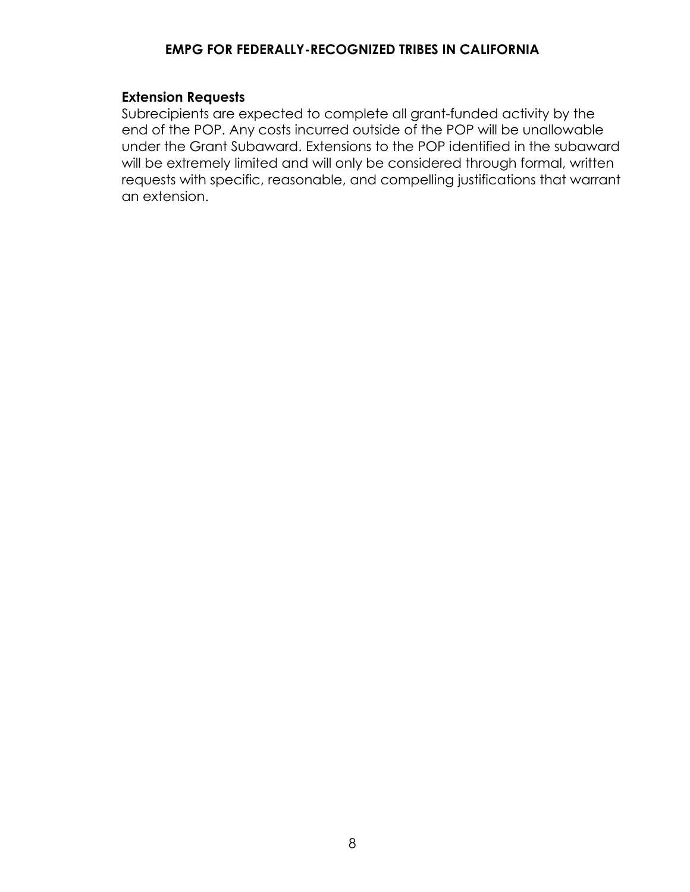### **Extension Requests**

Subrecipients are expected to complete all grant-funded activity by the end of the POP. Any costs incurred outside of the POP will be unallowable under the Grant Subaward. Extensions to the POP identified in the subaward will be extremely limited and will only be considered through formal, written requests with specific, reasonable, and compelling justifications that warrant an extension.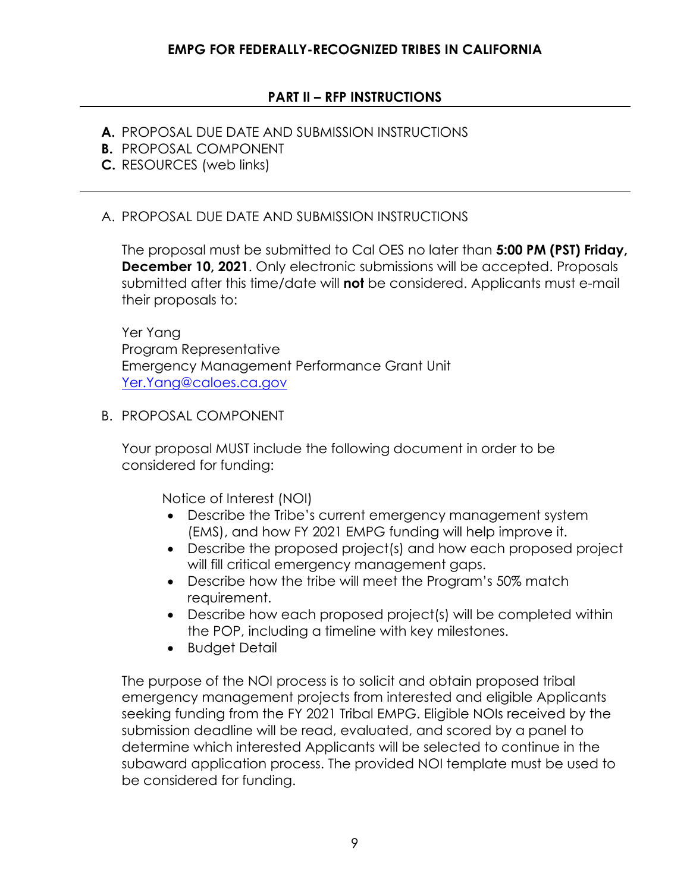## **PART II – RFP INSTRUCTIONS**

- <span id="page-10-0"></span>**A.** PROPOSAL DUE DATE AND SUBMISSION INSTRUCTIONS
- **B.** PROPOSAL COMPONENT
- **C.** RESOURCES (web links)

#### <span id="page-10-1"></span>A. PROPOSAL DUE DATE AND SUBMISSION INSTRUCTIONS

The proposal must be submitted to Cal OES no later than **5:00 PM (PST) Friday, December 10, 2021**. Only electronic submissions will be accepted. Proposals submitted after this time/date will **not** be considered. Applicants must e-mail their proposals to:

Yer Yang Program Representative Emergency Management Performance Grant Unit [Yer.Yang@caloes.ca.gov](mailto:Yer.Yang@caloes.ca.gov)

<span id="page-10-2"></span>B. PROPOSAL COMPONENT

Your proposal MUST include the following document in order to be considered for funding:

Notice of Interest (NOI)

- Describe the Tribe's current emergency management system (EMS), and how FY 2021 EMPG funding will help improve it.
- Describe the proposed project(s) and how each proposed project will fill critical emergency management gaps.
- Describe how the tribe will meet the Program's 50% match requirement.
- Describe how each proposed project(s) will be completed within the POP, including a timeline with key milestones.
- Budget Detail

The purpose of the NOI process is to solicit and obtain proposed tribal emergency management projects from interested and eligible Applicants seeking funding from the FY 2021 Tribal EMPG. Eligible NOIs received by the submission deadline will be read, evaluated, and scored by a panel to determine which interested Applicants will be selected to continue in the subaward application process. The provided NOI template must be used to be considered for funding.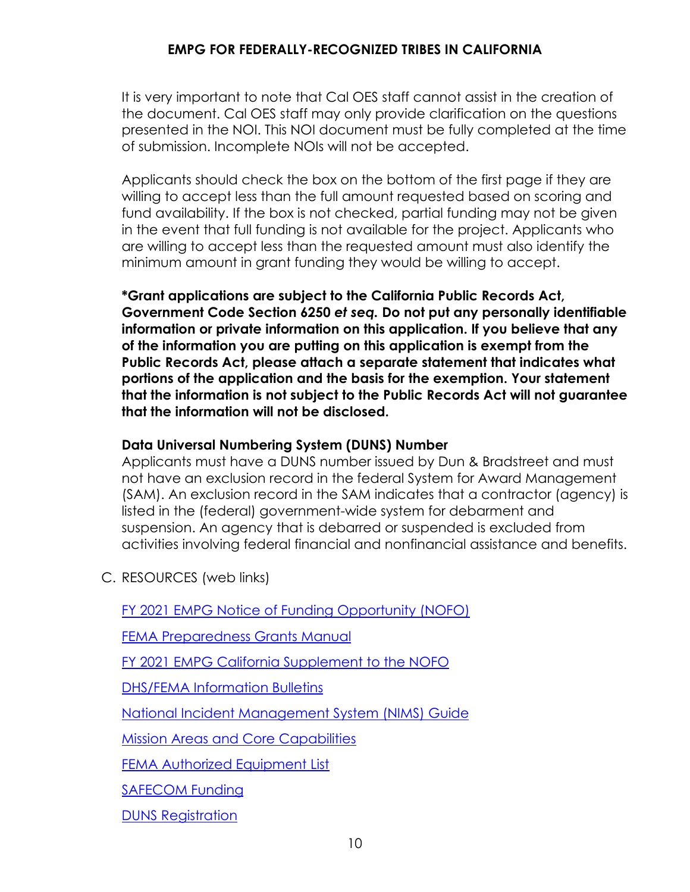It is very important to note that Cal OES staff cannot assist in the creation of the document. Cal OES staff may only provide clarification on the questions presented in the NOI. This NOI document must be fully completed at the time of submission. Incomplete NOIs will not be accepted.

Applicants should check the box on the bottom of the first page if they are willing to accept less than the full amount requested based on scoring and fund availability. If the box is not checked, partial funding may not be given in the event that full funding is not available for the project. Applicants who are willing to accept less than the requested amount must also identify the minimum amount in grant funding they would be willing to accept.

**\*Grant applications are subject to the California Public Records Act, Government Code Section 6250** *et seq.* **Do not put any personally identifiable information or private information on this application. If you believe that any of the information you are putting on this application is exempt from the Public Records Act, please attach a separate statement that indicates what portions of the application and the basis for the exemption. Your statement that the information is not subject to the Public Records Act will not guarantee that the information will not be disclosed.** 

# **Data Universal Numbering System (DUNS) Number**

Applicants must have a DUNS number issued by Dun & Bradstreet and must not have an exclusion record in the federal System for Award Management (SAM). An exclusion record in the SAM indicates that a contractor (agency) is listed in the (federal) government-wide system for debarment and suspension. An agency that is debarred or suspended is excluded from activities involving federal financial and nonfinancial assistance and benefits.

<span id="page-11-0"></span>C. RESOURCES (web links)

FY 2021 [EMPG Notice of Funding Opportunity \(NOFO\)](https://www.fema.gov/sites/default/files/documents/fema_fy-2021-empg-nofo-arpa-update_4-21-20.pdf)

[FEMA Preparedness Grants Manual](https://www.fema.gov/sites/default/files/documents/FEMA_2021-Preparedness-Grants-Manual_02-19-2021.pdf)

FY 2021 [EMPG California Supplement to the NOFO](https://www.caloes.ca.gov/GrantsManagementSite/Documents/FY%202021%20EMPG%20and%20EMPG-ARPA%20State%20Supplement.pdf)

[DHS/FEMA Information Bulletins](https://www.fema.gov/grants/preparedness/about/informational-bulletins)

[National Incident Management System \(NIMS\)](https://www.fema.gov/emergency-managers/nims) Guide

[Mission Areas and Core Capabilities](https://www.fema.gov/emergency-managers/national-preparedness/mission-core-capabilities)

[FEMA Authorized Equipment List](https://www.fema.gov/grants/guidance-tools/authorized-equipment-list)

[SAFECOM Funding](https://www.dhs.gov/safecom/funding)

[DUNS Registration](http://www.grants.gov/web/grants/applicants/organization-registration/step-1-obtain-duns-number.html)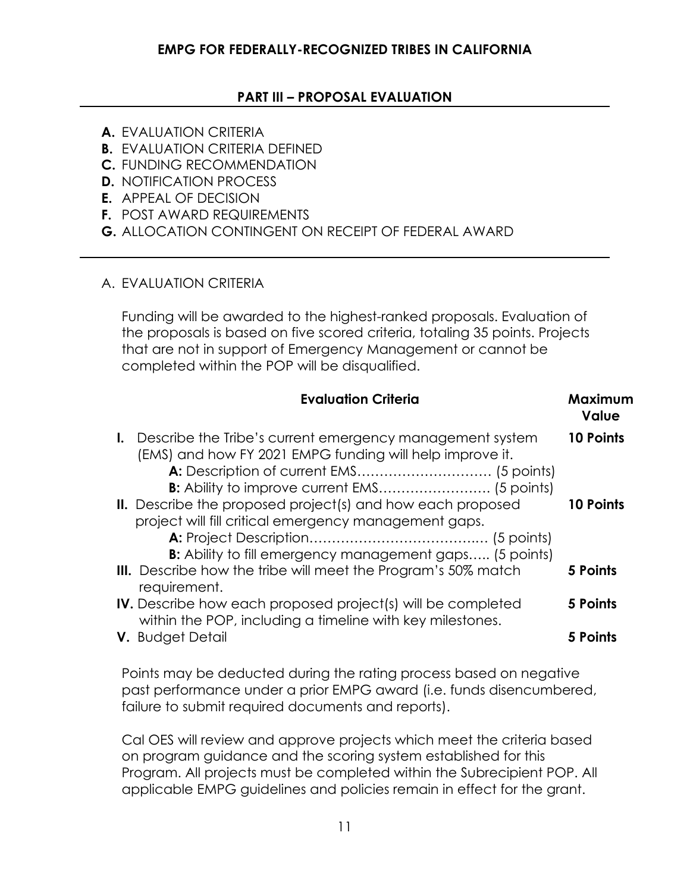### **PART III – PROPOSAL EVALUATION**

- <span id="page-12-0"></span>**A.** EVALUATION CRITERIA
- **B.** EVALUATION CRITERIA DEFINED
- **C.** FUNDING RECOMMENDATION
- **D.** NOTIFICATION PROCESS
- **E.** APPEAL OF DECISION
- **F.** POST AWARD REQUIREMENTS
- **G.** ALLOCATION CONTINGENT ON RECEIPT OF FEDERAL AWARD

### <span id="page-12-1"></span>A. EVALUATION CRITERIA

Funding will be awarded to the highest-ranked proposals. Evaluation of the proposals is based on five scored criteria, totaling 35 points. Projects that are not in support of Emergency Management or cannot be completed within the POP will be disqualified.

| <b>Evaluation Criteria</b>                                                                                                                                                                                                                          | Maximum<br>Value              |
|-----------------------------------------------------------------------------------------------------------------------------------------------------------------------------------------------------------------------------------------------------|-------------------------------|
| <b>I.</b> Describe the Tribe's current emergency management system<br>(EMS) and how FY 2021 EMPG funding will help improve it.<br>B: Ability to improve current EMS (5 points)<br><b>II.</b> Describe the proposed project(s) and how each proposed | 10 Points<br><b>10 Points</b> |
| project will fill critical emergency management gaps.<br><b>B:</b> Ability to fill emergency management gaps (5 points)                                                                                                                             |                               |
| <b>III.</b> Describe how the tribe will meet the Program's 50% match<br>requirement.                                                                                                                                                                | 5 Points                      |
| <b>IV.</b> Describe how each proposed project(s) will be completed<br>within the POP, including a timeline with key milestones.                                                                                                                     | 5 Points                      |
| V. Budget Detail                                                                                                                                                                                                                                    | 5 Points                      |

Points may be deducted during the rating process based on negative past performance under a prior EMPG award (i.e. funds disencumbered, failure to submit required documents and reports).

Cal OES will review and approve projects which meet the criteria based on program guidance and the scoring system established for this Program. All projects must be completed within the Subrecipient POP. All applicable EMPG guidelines and policies remain in effect for the grant.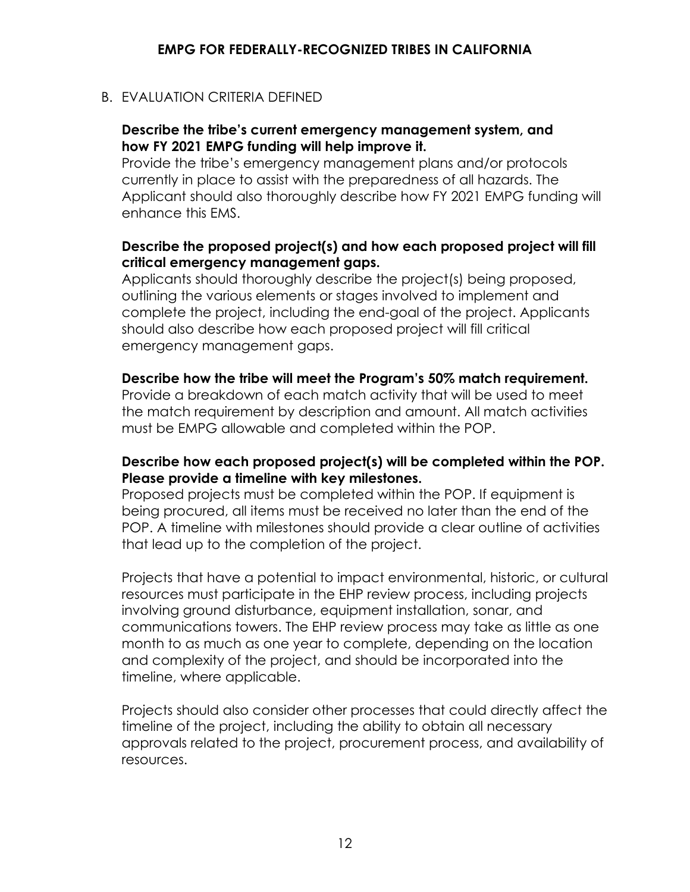## <span id="page-13-0"></span>B. EVALUATION CRITERIA DEFINED

### **Describe the tribe's current emergency management system, and how FY 2021 EMPG funding will help improve it.**

Provide the tribe's emergency management plans and/or protocols currently in place to assist with the preparedness of all hazards. The Applicant should also thoroughly describe how FY 2021 EMPG funding will enhance this EMS.

## **Describe the proposed project(s) and how each proposed project will fill critical emergency management gaps.**

Applicants should thoroughly describe the project(s) being proposed, outlining the various elements or stages involved to implement and complete the project, including the end-goal of the project. Applicants should also describe how each proposed project will fill critical emergency management gaps.

### **Describe how the tribe will meet the Program's 50% match requirement.**

Provide a breakdown of each match activity that will be used to meet the match requirement by description and amount. All match activities must be EMPG allowable and completed within the POP.

### **Describe how each proposed project(s) will be completed within the POP. Please provide a timeline with key milestones.**

Proposed projects must be completed within the POP. If equipment is being procured, all items must be received no later than the end of the POP. A timeline with milestones should provide a clear outline of activities that lead up to the completion of the project.

Projects that have a potential to impact environmental, historic, or cultural resources must participate in the EHP review process, including projects involving ground disturbance, equipment installation, sonar, and communications towers. The EHP review process may take as little as one month to as much as one year to complete, depending on the location and complexity of the project, and should be incorporated into the timeline, where applicable.

Projects should also consider other processes that could directly affect the timeline of the project, including the ability to obtain all necessary approvals related to the project, procurement process, and availability of resources.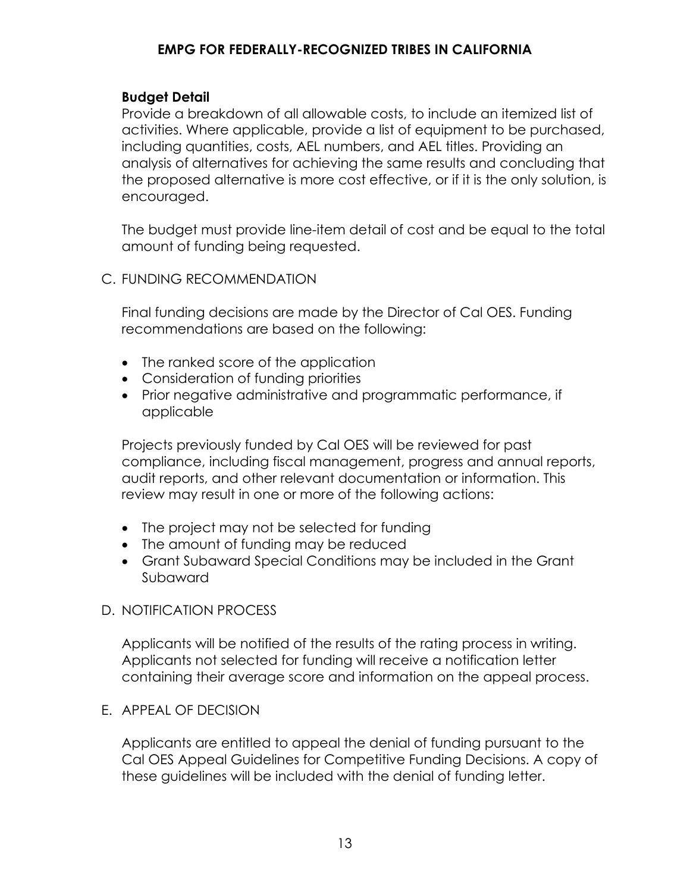#### **Budget Detail**

Provide a breakdown of all allowable costs, to include an itemized list of activities. Where applicable, provide a list of equipment to be purchased, including quantities, costs, AEL numbers, and AEL titles. Providing an analysis of alternatives for achieving the same results and concluding that the proposed alternative is more cost effective, or if it is the only solution, is encouraged.

The budget must provide line-item detail of cost and be equal to the total amount of funding being requested.

#### <span id="page-14-0"></span>C. FUNDING RECOMMENDATION

Final funding decisions are made by the Director of Cal OES. Funding recommendations are based on the following:

- The ranked score of the application
- Consideration of funding priorities
- Prior negative administrative and programmatic performance, if applicable

Projects previously funded by Cal OES will be reviewed for past compliance, including fiscal management, progress and annual reports, audit reports, and other relevant documentation or information. This review may result in one or more of the following actions:

- The project may not be selected for funding
- The amount of funding may be reduced
- Grant Subaward Special Conditions may be included in the Grant Subaward

#### <span id="page-14-1"></span>D. NOTIFICATION PROCESS

Applicants will be notified of the results of the rating process in writing. Applicants not selected for funding will receive a notification letter containing their average score and information on the appeal process.

#### <span id="page-14-2"></span>E. APPEAL OF DECISION

Applicants are entitled to appeal the denial of funding pursuant to the Cal OES Appeal Guidelines for Competitive Funding Decisions. A copy of these guidelines will be included with the denial of funding letter.